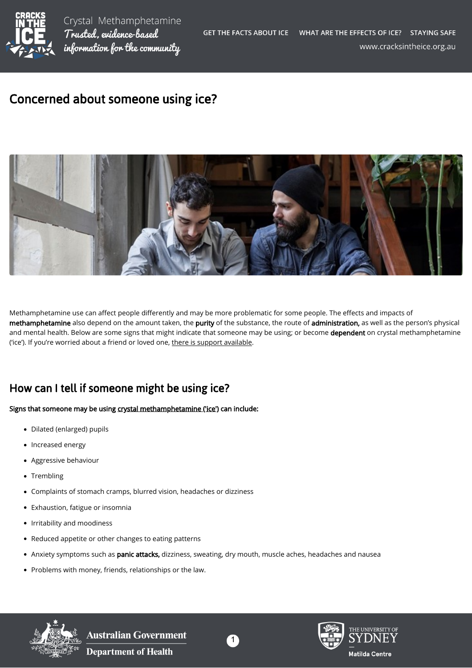

# Concerned about someone using ice?



Methamphetamine use can affect people differently and may be more problematic for some people. The effects and impacts of methamphetamine also depend on the amount taken, the purity of the substance, the route of administration, as well as the person's physical and mental health. Below are some signs that might indicate that someone may be using; or become dependent on crystal methamphetamine ('ice'). If you're worried about a friend or loved one, [there is support available.](https://cracksintheice.org.au/when-and-where-do-i-get-help)

## How can I tell if someone might be using ice?

#### Signs that someone may be using [crystal methamphetamine \('ice'\)](https://cracksintheice.org.au/what-is-ice) can include:

- Dilated (enlarged) pupils
- Increased energy
- Aggressive behaviour
- Trembling
- Complaints of stomach cramps, blurred vision, headaches or dizziness
- Exhaustion, fatigue or insomnia
- Irritability and moodiness
- Reduced appetite or other changes to eating patterns
- Anxiety symptoms such as panic attacks, dizziness, sweating, dry mouth, muscle aches, headaches and nausea
- Problems with money, friends, relationships or the law.



**Australian Government Department of Health** 



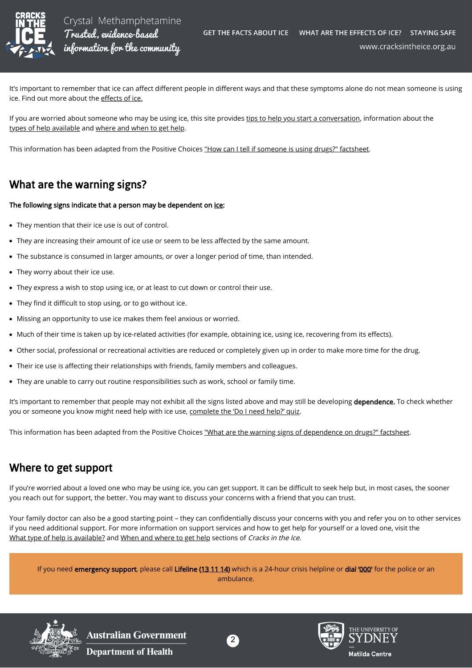

Crystal Methamphetamine Trusted, evidence-based information for the community

It's important to remember that ice can affect different people in different ways and that these symptoms alone do not mean someone is using ice. Find out more about the effects of ice.

If you are worried about someone who may be using ice, this site provides [tips to help you start a conversation,](https://cracksintheice.org.au/families-friends/starting-the-conversation) information about the [types of help available](https://cracksintheice.org.au/families-friends/what-type-of-help-is-available) and [where and when to get help.](https://cracksintheice.org.au/when-and-where-do-i-get-help)

This information has been adapted from the Positive Choices ["How can I tell if someone is using drugs?" factsheet](https://positivechoices.org.au/parents/how-can-i-tell-if-someone-is-using-drugs).

## What are the warning signs?

#### The following signs indicate that a person may be dependent on [ice](https://cracksintheice.org.au/what-is-ice):

- They mention that their ice use is out of control.
- They are increasing their amount of ice use or seem to be less affected by the same amount.
- The substance is consumed in larger amounts, or over a longer period of time, than intended.
- They worry about their ice use.
- They express a wish to stop using ice, or at least to cut down or control their use.
- They find it difficult to stop using, or to go without ice.
- Missing an opportunity to use ice makes them feel anxious or worried.
- Much of their time is taken up by ice-related activities (for example, obtaining ice, using ice, recovering from its effects).
- Other social, professional or recreational activities are reduced or completely given up in order to make more time for the drug.
- Their ice use is affecting their relationships with friends, family members and colleagues.
- They are unable to carry out routine responsibilities such as work, school or family time.

It's important to remember that people may not exhibit all the signs listed above and may still be developing dependence. To check whether you or someone you know might need help with ice use, [complete the 'Do I need help?' quiz.](https://cracksintheice.org.au/public/chxlandtme/0/)

This information has been adapted from the Positive Choices ["What are the warning signs of dependence on drugs?" factsheet](https://positivechoices.org.au/parents/what-are-the-warning-signs).

#### Where to get support

If you're worried about a loved one who may be using ice, you can get support. It can be difficult to seek help but, in most cases, the sooner you reach out for support, the better. You may want to discuss your concerns with a friend that you can trust.

Your family doctor can also be a good starting point – they can confidentially discuss your concerns with you and refer you on to other services if you need additional support. For more information on support services and how to get help for yourself or a loved one, visit the [What type of help is available?](https://cracksintheice.org.au/families-friends/what-type-of-help-is-available) and [When and where to get help](https://cracksintheice.org.au/when-and-where-do-i-get-help) sections of Cracks in the Ice.

If you need emergency support, please call Lifeline ([13 11 14](tel:131114)) which is a 24-hour crisis helpline or dial '[000](tel:000)' for the police or an ambulance.



**Australian Government Department of Health**